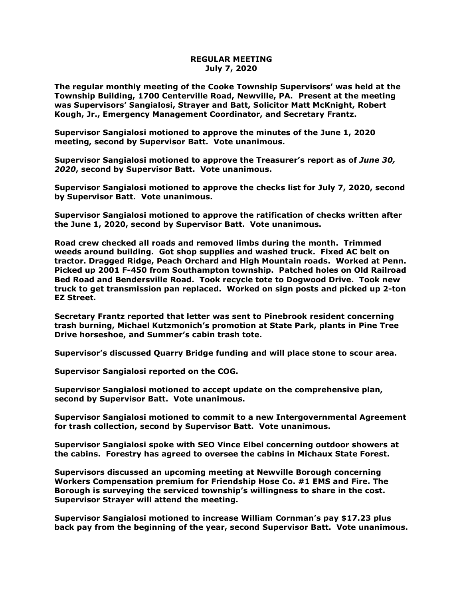## **REGULAR MEETING July 7, 2020**

**The regular monthly meeting of the Cooke Township Supervisors' was held at the Township Building, 1700 Centerville Road, Newville, PA. Present at the meeting was Supervisors' Sangialosi, Strayer and Batt, Solicitor Matt McKnight, Robert Kough, Jr., Emergency Management Coordinator, and Secretary Frantz.** 

**Supervisor Sangialosi motioned to approve the minutes of the June 1, 2020 meeting, second by Supervisor Batt. Vote unanimous.** 

**Supervisor Sangialosi motioned to approve the Treasurer's report as of** *June 30, 2020***, second by Supervisor Batt. Vote unanimous.**

**Supervisor Sangialosi motioned to approve the checks list for July 7, 2020, second by Supervisor Batt. Vote unanimous.**

**Supervisor Sangialosi motioned to approve the ratification of checks written after the June 1, 2020, second by Supervisor Batt. Vote unanimous.**

**Road crew checked all roads and removed limbs during the month. Trimmed weeds around building. Got shop supplies and washed truck. Fixed AC belt on tractor. Dragged Ridge, Peach Orchard and High Mountain roads. Worked at Penn. Picked up 2001 F-450 from Southampton township. Patched holes on Old Railroad Bed Road and Bendersville Road. Took recycle tote to Dogwood Drive. Took new truck to get transmission pan replaced. Worked on sign posts and picked up 2-ton EZ Street.**

**Secretary Frantz reported that letter was sent to Pinebrook resident concerning trash burning, Michael Kutzmonich's promotion at State Park, plants in Pine Tree Drive horseshoe, and Summer's cabin trash tote.**

**Supervisor's discussed Quarry Bridge funding and will place stone to scour area.**

**Supervisor Sangialosi reported on the COG.**

**Supervisor Sangialosi motioned to accept update on the comprehensive plan, second by Supervisor Batt. Vote unanimous.**

**Supervisor Sangialosi motioned to commit to a new Intergovernmental Agreement for trash collection, second by Supervisor Batt. Vote unanimous.**

**Supervisor Sangialosi spoke with SEO Vince Elbel concerning outdoor showers at the cabins. Forestry has agreed to oversee the cabins in Michaux State Forest.**

**Supervisors discussed an upcoming meeting at Newville Borough concerning Workers Compensation premium for Friendship Hose Co. #1 EMS and Fire. The Borough is surveying the serviced township's willingness to share in the cost. Supervisor Strayer will attend the meeting.**

**Supervisor Sangialosi motioned to increase William Cornman's pay \$17.23 plus back pay from the beginning of the year, second Supervisor Batt. Vote unanimous.**